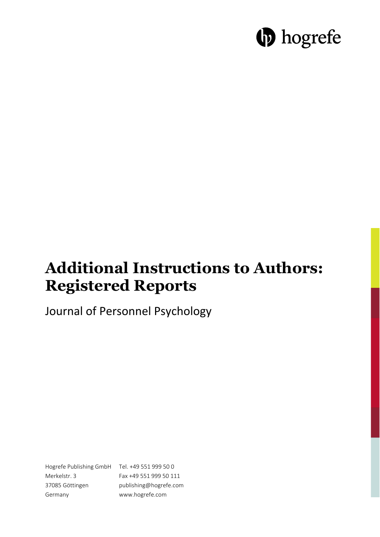# **b** hogrefe

## **Additional Instructions to Authors: Registered Reports**

Journal of Personnel Psychology

Hogrefe Publishing GmbH Tel. +49 551 999 50 0 Merkelstr. 3 37085 Göttingen Germany Fax +49 551 999 50 111 publishing@hogrefe.com www.hogrefe.com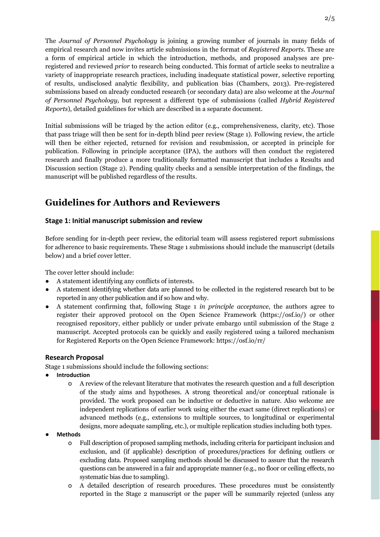The *Journal of Personnel Psychology* is joining a growing number of journals in many fields of empirical research and now invites article submissions in the format of *Registered Reports*. These are a form of empirical article in which the introduction, methods, and proposed analyses are preregistered and reviewed *prior* to research being conducted. This format of article seeks to neutralize a variety of inappropriate research practices, including inadequate statistical power, selective reporting of results, undisclosed analytic flexibility, and publication bias (Chambers, 2013). Pre-registered submissions based on already conducted research (or secondary data) are also welcome at the *Journal of Personnel Psychology,* but represent a different type of submissions (called *Hybrid Registered Reports*), detailed guidelines for which are described in a separate document.

Initial submissions will be triaged by the action editor (e.g., comprehensiveness, clarity, etc). Those that pass triage will then be sent for in-depth blind peer review (Stage 1). Following review, the article will then be either rejected, returned for revision and resubmission, or accepted in principle for publication. Following in principle acceptance (IPA), the authors will then conduct the registered research and finally produce a more traditionally formatted manuscript that includes a Results and Discussion section (Stage 2). Pending quality checks and a sensible interpretation of the findings, the manuscript will be published regardless of the results.

### **Guidelines for Authors and Reviewers**

#### **Stage 1: Initial manuscript submission and review**

Before sending for in-depth peer review, the editorial team will assess registered report submissions for adherence to basic requirements. These Stage 1 submissions should include the manuscript (details below) and a brief cover letter.

The cover letter should include:

- A statement identifying any conflicts of interests.
- A statement identifying whether data are planned to be collected in the registered research but to be reported in any other publication and if so how and why.
- A statement confirming that, following Stage 1 *in principle acceptance*, the authors agree to register their approved protocol on the Open Science Framework (https://osf.io/) or other recognised repository, either publicly or under private embargo until submission of the Stage 2 manuscript. Accepted protocols can be quickly and easily registered using a tailored mechanism for Registered Reports on the Open Science Framework: https://osf.io/rr/

#### **Research Proposal**

Stage 1 submissions should include the following sections:

- **Introduction**
	- o A review of the relevant literature that motivates the research question and a full description of the study aims and hypotheses. A strong theoretical and/or conceptual rationale is provided. The work proposed can be inductive or deductive in nature. Also welcome are independent replications of earlier work using either the exact same (direct replications) or advanced methods (e.g., extensions to multiple sources, to longitudinal or experimental designs, more adequate sampling, etc.), or multiple replication studies including both types.
- **Methods**
	- o Full description of proposed sampling methods, including criteria for participant inclusion and exclusion, and (if applicable) description of procedures/practices for defining outliers or excluding data. Proposed sampling methods should be discussed to assure that the research questions can be answered in a fair and appropriate manner (e.g., no floor or ceiling effects, no systematic bias due to sampling).
	- o A detailed description of research procedures. These procedures must be consistently reported in the Stage 2 manuscript or the paper will be summarily rejected (unless any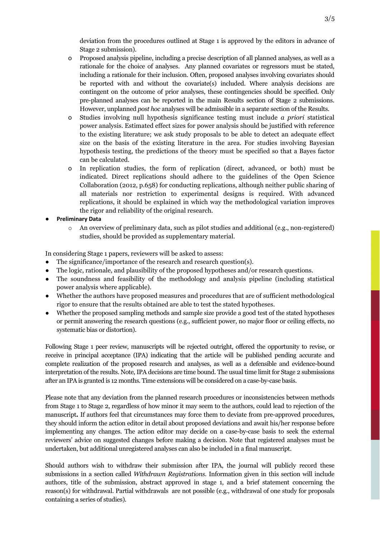deviation from the procedures outlined at Stage 1 is approved by the editors in advance of Stage 2 submission).

- o Proposed analysis pipeline, including a precise description of all planned analyses, as well as a rationale for the choice of analyses. Any planned covariates or regressors must be stated, including a rationale for their inclusion. Often, proposed analyses involving covariates should be reported with and without the covariate(s) included. Where analysis decisions are contingent on the outcome of prior analyses, these contingencies should be specified. Only pre-planned analyses can be reported in the main Results section of Stage 2 submissions. However, unplanned *post hoc* analyses will be admissible in a separate section of the Results.
- o Studies involving null hypothesis significance testing must include *a priori* statistical power analysis. Estimated effect sizes for power analysis should be justified with reference to the existing literature; we ask study proposals to be able to detect an adequate effect size on the basis of the existing literature in the area. For studies involving Bayesian hypothesis testing, the predictions of the theory must be specified so that a Bayes factor can be calculated.
- o In replication studies, the form of replication (direct, advanced, or both) must be indicated. Direct replications should adhere to the guidelines of the Open Science Collaboration (2012, p.658) for conducting replications, although neither public sharing of all materials nor restriction to experimental designs is required. With advanced replications, it should be explained in which way the methodological variation improves the rigor and reliability of the original research.
- **Preliminary Data**
	- $\circ$  An overview of preliminary data, such as pilot studies and additional (e.g., non-registered) studies, should be provided as supplementary material.

In considering Stage 1 papers, reviewers will be asked to assess:

- The significance/importance of the research and research question(s).
- The logic, rationale, and plausibility of the proposed hypotheses and/or research questions.
- The soundness and feasibility of the methodology and analysis pipeline (including statistical power analysis where applicable).
- Whether the authors have proposed measures and procedures that are of sufficient methodological rigor to ensure that the results obtained are able to test the stated hypotheses.
- Whether the proposed sampling methods and sample size provide a good test of the stated hypotheses or permit answering the research questions (e.g., sufficient power, no major floor or ceiling effects, no systematic bias or distortion).

Following Stage 1 peer review, manuscripts will be rejected outright, offered the opportunity to revise, or receive in principal acceptance (IPA) indicating that the article will be published pending accurate and complete realization of the proposed research and analyses, as well as a defensible and evidence-bound interpretation of the results. Note, IPA decisions are time bound. The usual time limit for Stage 2 submissions after an IPA is granted is 12 months. Time extensions will be considered on a case-by-case basis.

Please note that any deviation from the planned research procedures or inconsistencies between methods from Stage 1 to Stage 2, regardless of how minor it may seem to the authors, could lead to rejection of the manuscript**.** If authors feel that circumstances may force them to deviate from pre-approved procedures, they should inform the action editor in detail about proposed deviations and await his/her response before implementing any changes. The action editor may decide on a case-by-case basis to seek the external reviewers' advice on suggested changes before making a decision. Note that registered analyses must be undertaken, but additional unregistered analyses can also be included in a final manuscript.

Should authors wish to withdraw their submission after IPA, the journal will publicly record these submissions in a section called *Withdrawn Registrations*. Information given in this section will include authors, title of the submission, abstract approved in stage 1, and a brief statement concerning the reason(s) for withdrawal. Partial withdrawals are not possible (e.g., withdrawal of one study for proposals containing a series of studies).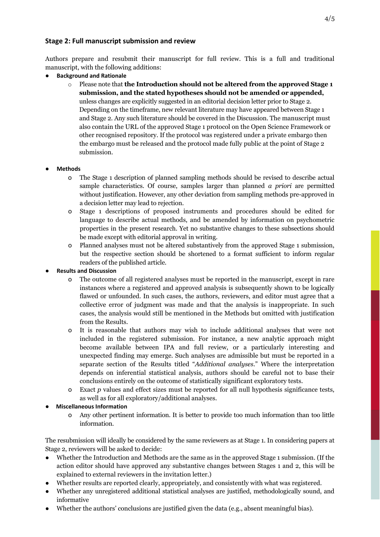#### **Stage 2: Full manuscript submission and review**

Authors prepare and resubmit their manuscript for full review. This is a full and traditional manuscript, with the following additions:

- **Background and Rationale** 
	- o Please note that **the Introduction should not be altered from the approved Stage 1 submission, and the stated hypotheses should not be amended or appended,**  unless changes are explicitly suggested in an editorial decision letter prior to Stage 2. Depending on the timeframe, new relevant literature may have appeared between Stage 1 and Stage 2. Any such literature should be covered in the Discussion. The manuscript must also contain the URL of the approved Stage 1 protocol on the Open Science Framework or other recognised repository. If the protocol was registered under a private embargo then the embargo must be released and the protocol made fully public at the point of Stage 2 submission.

#### ● **Methods**

- o The Stage 1 description of planned sampling methods should be revised to describe actual sample characteristics. Of course, samples larger than planned *a priori* are permitted without justification. However, any other deviation from sampling methods pre-approved in a decision letter may lead to rejection.
- o Stage 1 descriptions of proposed instruments and procedures should be edited for language to describe actual methods, and be amended by information on psychometric properties in the present research. Yet no substantive changes to these subsections should be made except with editorial approval in writing.
- o Planned analyses must not be altered substantively from the approved Stage 1 submission, but the respective section should be shortened to a format sufficient to inform regular readers of the published article.
- **Results and Discussion**
	- o The outcome of all registered analyses must be reported in the manuscript, except in rare instances where a registered and approved analysis is subsequently shown to be logically flawed or unfounded. In such cases, the authors, reviewers, and editor must agree that a collective error of judgment was made and that the analysis is inappropriate. In such cases, the analysis would still be mentioned in the Methods but omitted with justification from the Results.
	- o It is reasonable that authors may wish to include additional analyses that were not included in the registered submission. For instance, a new analytic approach might become available between IPA and full review, or a particularly interesting and unexpected finding may emerge. Such analyses are admissible but must be reported in a separate section of the Results titled "*Additional analyses.*" Where the interpretation depends on inferential statistical analysis, authors should be careful not to base their conclusions entirely on the outcome of statistically significant exploratory tests.
	- o Exact *p* values and effect sizes must be reported for all null hypothesis significance tests, as well as for all exploratory/additional analyses.

#### ● **Miscellaneous Information**

o Any other pertinent information. It is better to provide too much information than too little information.

The resubmission will ideally be considered by the same reviewers as at Stage 1. In considering papers at Stage 2, reviewers will be asked to decide:

- Whether the Introduction and Methods are the same as in the approved Stage 1 submission. (If the action editor should have approved any substantive changes between Stages 1 and 2, this will be explained to external reviewers in the invitation letter.)
- Whether results are reported clearly, appropriately, and consistently with what was registered.
- Whether any unregistered additional statistical analyses are justified, methodologically sound, and informative
- Whether the authors' conclusions are justified given the data (e.g., absent meaningful bias).